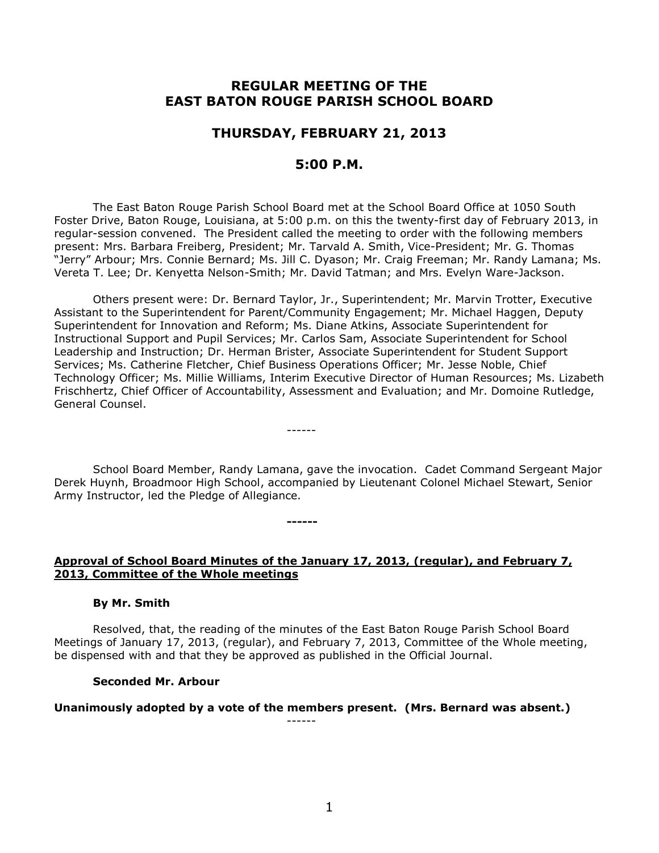# **REGULAR MEETING OF THE EAST BATON ROUGE PARISH SCHOOL BOARD**

## **THURSDAY, FEBRUARY 21, 2013**

## **5:00 P.M.**

The East Baton Rouge Parish School Board met at the School Board Office at 1050 South Foster Drive, Baton Rouge, Louisiana, at 5:00 p.m. on this the twenty-first day of February 2013, in regular-session convened. The President called the meeting to order with the following members present: Mrs. Barbara Freiberg, President; Mr. Tarvald A. Smith, Vice-President; Mr. G. Thomas "Jerry" Arbour; Mrs. Connie Bernard; Ms. Jill C. Dyason; Mr. Craig Freeman; Mr. Randy Lamana; Ms. Vereta T. Lee; Dr. Kenyetta Nelson-Smith; Mr. David Tatman; and Mrs. Evelyn Ware-Jackson.

Others present were: Dr. Bernard Taylor, Jr., Superintendent; Mr. Marvin Trotter, Executive Assistant to the Superintendent for Parent/Community Engagement; Mr. Michael Haggen, Deputy Superintendent for Innovation and Reform; Ms. Diane Atkins, Associate Superintendent for Instructional Support and Pupil Services; Mr. Carlos Sam, Associate Superintendent for School Leadership and Instruction; Dr. Herman Brister, Associate Superintendent for Student Support Services; Ms. Catherine Fletcher, Chief Business Operations Officer; Mr. Jesse Noble, Chief Technology Officer; Ms. Millie Williams, Interim Executive Director of Human Resources; Ms. Lizabeth Frischhertz, Chief Officer of Accountability, Assessment and Evaluation; and Mr. Domoine Rutledge, General Counsel.

School Board Member, Randy Lamana, gave the invocation. Cadet Command Sergeant Major Derek Huynh, Broadmoor High School, accompanied by Lieutenant Colonel Michael Stewart, Senior Army Instructor, led the Pledge of Allegiance.

------

**------**

#### **Approval of School Board Minutes of the January 17, 2013, (regular), and February 7, 2013, Committee of the Whole meetings**

#### **By Mr. Smith**

Resolved, that, the reading of the minutes of the East Baton Rouge Parish School Board Meetings of January 17, 2013, (regular), and February 7, 2013, Committee of the Whole meeting, be dispensed with and that they be approved as published in the Official Journal.

#### **Seconded Mr. Arbour**

#### **Unanimously adopted by a vote of the members present. (Mrs. Bernard was absent.)**

------

1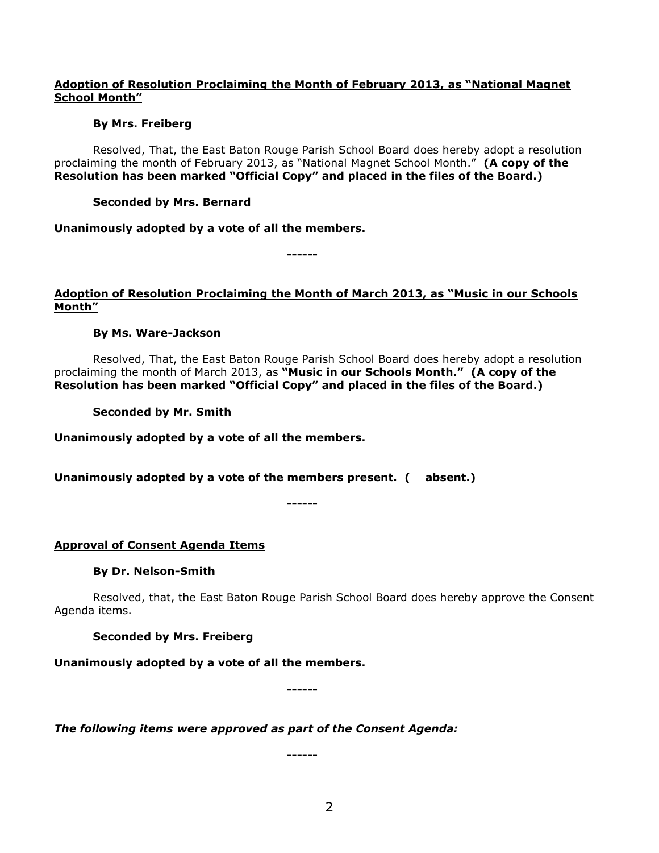## **Adoption of Resolution Proclaiming the Month of February 2013, as "National Magnet School Month"**

## **By Mrs. Freiberg**

Resolved, That, the East Baton Rouge Parish School Board does hereby adopt a resolution proclaiming the month of February 2013, as "National Magnet School Month." **(A copy of the Resolution has been marked "Official Copy" and placed in the files of the Board.)**

## **Seconded by Mrs. Bernard**

**Unanimously adopted by a vote of all the members.**

**------**

## **Adoption of Resolution Proclaiming the Month of March 2013, as "Music in our Schools Month"**

## **By Ms. Ware-Jackson**

Resolved, That, the East Baton Rouge Parish School Board does hereby adopt a resolution proclaiming the month of March 2013, as **"Music in our Schools Month." (A copy of the Resolution has been marked "Official Copy" and placed in the files of the Board.)**

**Seconded by Mr. Smith**

**Unanimously adopted by a vote of all the members.**

**Unanimously adopted by a vote of the members present. ( absent.)**

**------**

## **Approval of Consent Agenda Items**

## **By Dr. Nelson-Smith**

Resolved, that, the East Baton Rouge Parish School Board does hereby approve the Consent Agenda items.

**Seconded by Mrs. Freiberg**

**Unanimously adopted by a vote of all the members.**

**------**

*The following items were approved as part of the Consent Agenda:*

**------**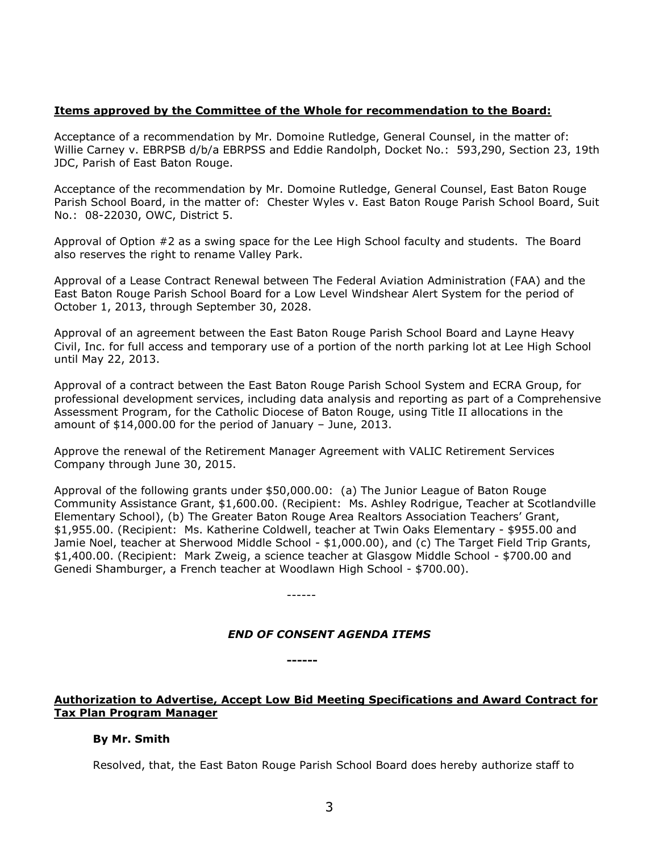### **Items approved by the Committee of the Whole for recommendation to the Board:**

Acceptance of a recommendation by Mr. Domoine Rutledge, General Counsel, in the matter of: Willie Carney v. EBRPSB d/b/a EBRPSS and Eddie Randolph, Docket No.: 593,290, Section 23, 19th JDC, Parish of East Baton Rouge.

Acceptance of the recommendation by Mr. Domoine Rutledge, General Counsel, East Baton Rouge Parish School Board, in the matter of: Chester Wyles v. East Baton Rouge Parish School Board, Suit No.: 08-22030, OWC, District 5.

Approval of Option #2 as a swing space for the Lee High School faculty and students. The Board also reserves the right to rename Valley Park.

Approval of a Lease Contract Renewal between The Federal Aviation Administration (FAA) and the East Baton Rouge Parish School Board for a Low Level Windshear Alert System for the period of October 1, 2013, through September 30, 2028.

Approval of an agreement between the East Baton Rouge Parish School Board and Layne Heavy Civil, Inc. for full access and temporary use of a portion of the north parking lot at Lee High School until May 22, 2013.

Approval of a contract between the East Baton Rouge Parish School System and ECRA Group, for professional development services, including data analysis and reporting as part of a Comprehensive Assessment Program, for the Catholic Diocese of Baton Rouge, using Title II allocations in the amount of \$14,000.00 for the period of January – June, 2013.

Approve the renewal of the Retirement Manager Agreement with VALIC Retirement Services Company through June 30, 2015.

Approval of the following grants under \$50,000.00: (a) The Junior League of Baton Rouge Community Assistance Grant, \$1,600.00. (Recipient: Ms. Ashley Rodrigue, Teacher at Scotlandville Elementary School), (b) The Greater Baton Rouge Area Realtors Association Teachers' Grant, \$1,955.00. (Recipient: Ms. Katherine Coldwell, teacher at Twin Oaks Elementary - \$955.00 and Jamie Noel, teacher at Sherwood Middle School - \$1,000.00), and (c) The Target Field Trip Grants, \$1,400.00. (Recipient: Mark Zweig, a science teacher at Glasgow Middle School - \$700.00 and Genedi Shamburger, a French teacher at Woodlawn High School - \$700.00).

------

**------**

### *END OF CONSENT AGENDA ITEMS*

**Authorization to Advertise, Accept Low Bid Meeting Specifications and Award Contract for Tax Plan Program Manager**

### **By Mr. Smith**

Resolved, that, the East Baton Rouge Parish School Board does hereby authorize staff to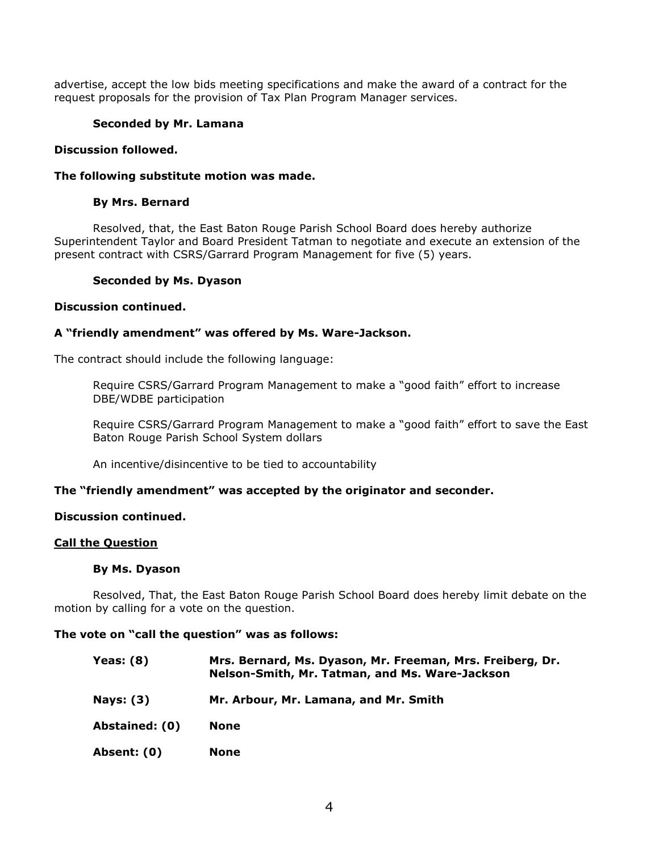advertise, accept the low bids meeting specifications and make the award of a contract for the request proposals for the provision of Tax Plan Program Manager services.

## **Seconded by Mr. Lamana**

### **Discussion followed.**

#### **The following substitute motion was made.**

### **By Mrs. Bernard**

Resolved, that, the East Baton Rouge Parish School Board does hereby authorize Superintendent Taylor and Board President Tatman to negotiate and execute an extension of the present contract with CSRS/Garrard Program Management for five (5) years.

#### **Seconded by Ms. Dyason**

#### **Discussion continued.**

### **A "friendly amendment" was offered by Ms. Ware-Jackson.**

The contract should include the following language:

Require CSRS/Garrard Program Management to make a "good faith" effort to increase DBE/WDBE participation

Require CSRS/Garrard Program Management to make a "good faith" effort to save the East Baton Rouge Parish School System dollars

An incentive/disincentive to be tied to accountability

### **The "friendly amendment" was accepted by the originator and seconder.**

### **Discussion continued.**

#### **Call the Question**

#### **By Ms. Dyason**

Resolved, That, the East Baton Rouge Parish School Board does hereby limit debate on the motion by calling for a vote on the question.

### **The vote on "call the question" was as follows:**

- **Yeas: (8) Mrs. Bernard, Ms. Dyason, Mr. Freeman, Mrs. Freiberg, Dr. Nelson-Smith, Mr. Tatman, and Ms. Ware-Jackson Nays: (3) Mr. Arbour, Mr. Lamana, and Mr. Smith Abstained: (0) None**
- **Absent: (0) None**